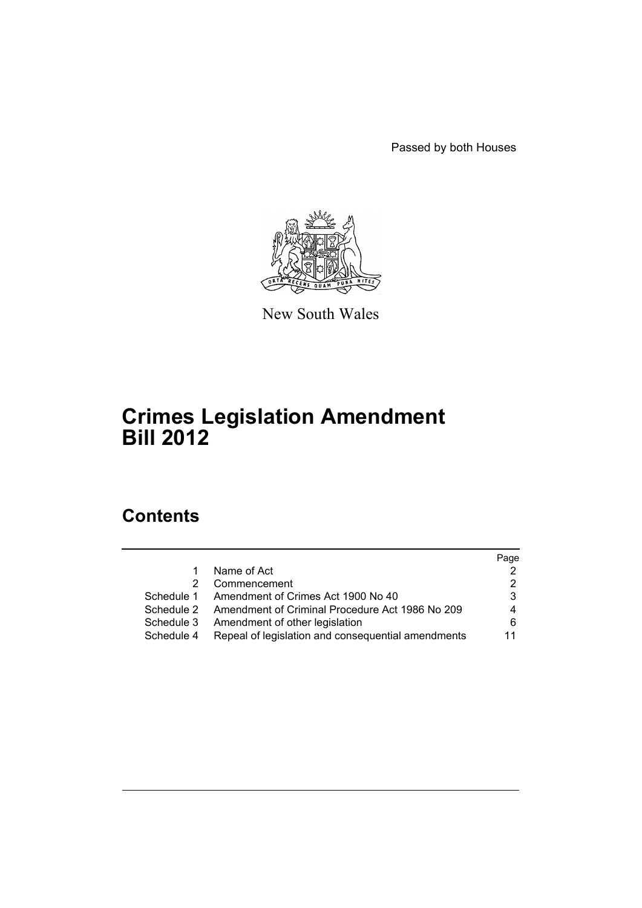Passed by both Houses



New South Wales

# **Crimes Legislation Amendment Bill 2012**

# **Contents**

|            |                                                    | Page |
|------------|----------------------------------------------------|------|
|            | Name of Act                                        |      |
| 2          | Commencement                                       |      |
| Schedule 1 | Amendment of Crimes Act 1900 No 40                 | 3    |
| Schedule 2 | Amendment of Criminal Procedure Act 1986 No 209    | 4    |
| Schedule 3 | Amendment of other legislation                     | 6    |
| Schedule 4 | Repeal of legislation and consequential amendments | 11   |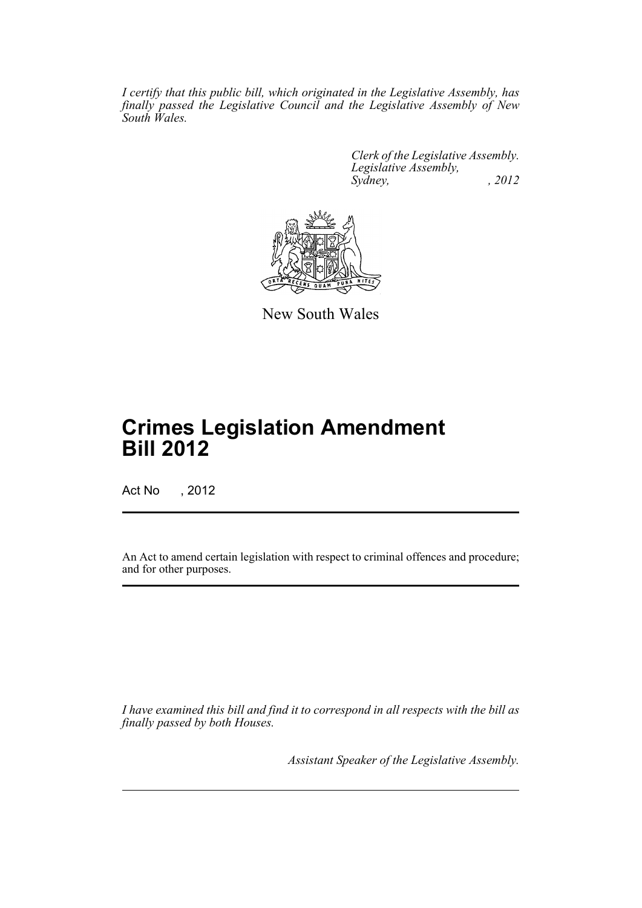*I certify that this public bill, which originated in the Legislative Assembly, has finally passed the Legislative Council and the Legislative Assembly of New South Wales.*

> *Clerk of the Legislative Assembly. Legislative Assembly, Sydney, , 2012*



New South Wales

# **Crimes Legislation Amendment Bill 2012**

Act No , 2012

An Act to amend certain legislation with respect to criminal offences and procedure; and for other purposes.

*I have examined this bill and find it to correspond in all respects with the bill as finally passed by both Houses.*

*Assistant Speaker of the Legislative Assembly.*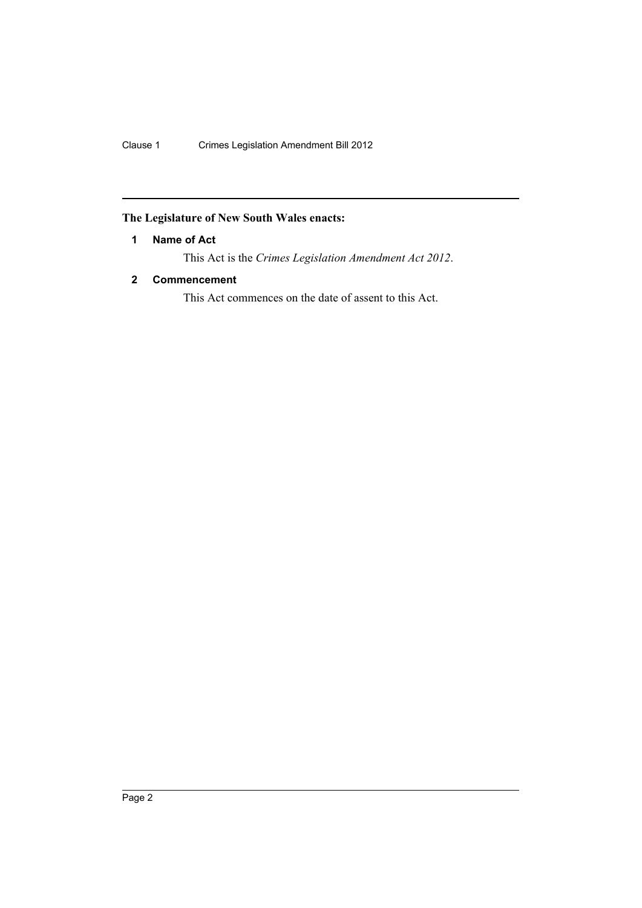# <span id="page-2-0"></span>**The Legislature of New South Wales enacts:**

## **1 Name of Act**

This Act is the *Crimes Legislation Amendment Act 2012*.

## <span id="page-2-1"></span>**2 Commencement**

This Act commences on the date of assent to this Act.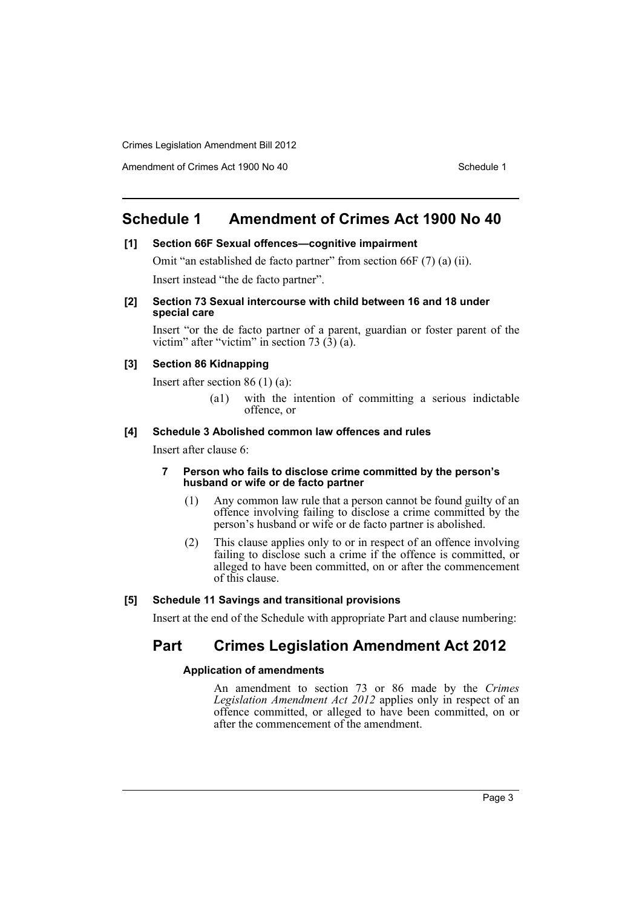Amendment of Crimes Act 1900 No 40 Schedule 1

# <span id="page-3-0"></span>**Schedule 1 Amendment of Crimes Act 1900 No 40**

#### **[1] Section 66F Sexual offences—cognitive impairment**

Omit "an established de facto partner" from section 66F (7) (a) (ii). Insert instead "the de facto partner".

#### **[2] Section 73 Sexual intercourse with child between 16 and 18 under special care**

Insert "or the de facto partner of a parent, guardian or foster parent of the victim" after "victim" in section 73  $(3)$  (a).

#### **[3] Section 86 Kidnapping**

Insert after section 86 (1) (a):

(a1) with the intention of committing a serious indictable offence, or

#### **[4] Schedule 3 Abolished common law offences and rules**

Insert after clause 6:

#### **7 Person who fails to disclose crime committed by the person's husband or wife or de facto partner**

- (1) Any common law rule that a person cannot be found guilty of an offence involving failing to disclose a crime committed by the person's husband or wife or de facto partner is abolished.
- (2) This clause applies only to or in respect of an offence involving failing to disclose such a crime if the offence is committed, or alleged to have been committed, on or after the commencement of this clause.

### **[5] Schedule 11 Savings and transitional provisions**

Insert at the end of the Schedule with appropriate Part and clause numbering:

# **Part Crimes Legislation Amendment Act 2012**

#### **Application of amendments**

An amendment to section 73 or 86 made by the *Crimes Legislation Amendment Act 2012* applies only in respect of an offence committed, or alleged to have been committed, on or after the commencement of the amendment.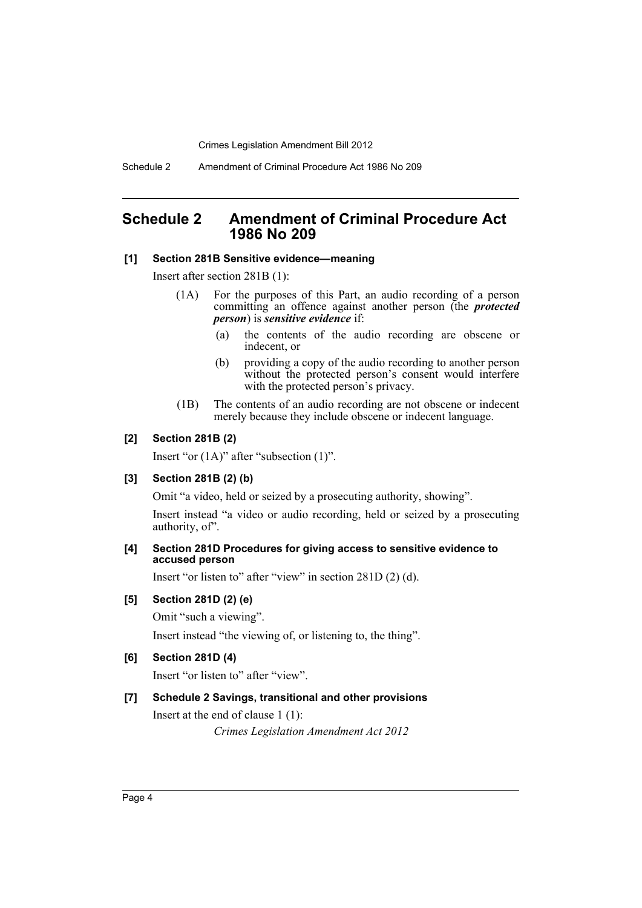Schedule 2 Amendment of Criminal Procedure Act 1986 No 209

# <span id="page-4-0"></span>**Schedule 2 Amendment of Criminal Procedure Act 1986 No 209**

#### **[1] Section 281B Sensitive evidence—meaning**

Insert after section 281B (1):

- (1A) For the purposes of this Part, an audio recording of a person committing an offence against another person (the *protected person*) is *sensitive evidence* if:
	- (a) the contents of the audio recording are obscene or indecent, or
	- (b) providing a copy of the audio recording to another person without the protected person's consent would interfere with the protected person's privacy.
- (1B) The contents of an audio recording are not obscene or indecent merely because they include obscene or indecent language.

#### **[2] Section 281B (2)**

Insert "or (1A)" after "subsection (1)".

#### **[3] Section 281B (2) (b)**

Omit "a video, held or seized by a prosecuting authority, showing".

Insert instead "a video or audio recording, held or seized by a prosecuting authority, of".

#### **[4] Section 281D Procedures for giving access to sensitive evidence to accused person**

Insert "or listen to" after "view" in section 281D (2) (d).

### **[5] Section 281D (2) (e)**

Omit "such a viewing".

Insert instead "the viewing of, or listening to, the thing".

#### **[6] Section 281D (4)**

Insert "or listen to" after "view".

#### **[7] Schedule 2 Savings, transitional and other provisions**

Insert at the end of clause 1 (1):

*Crimes Legislation Amendment Act 2012*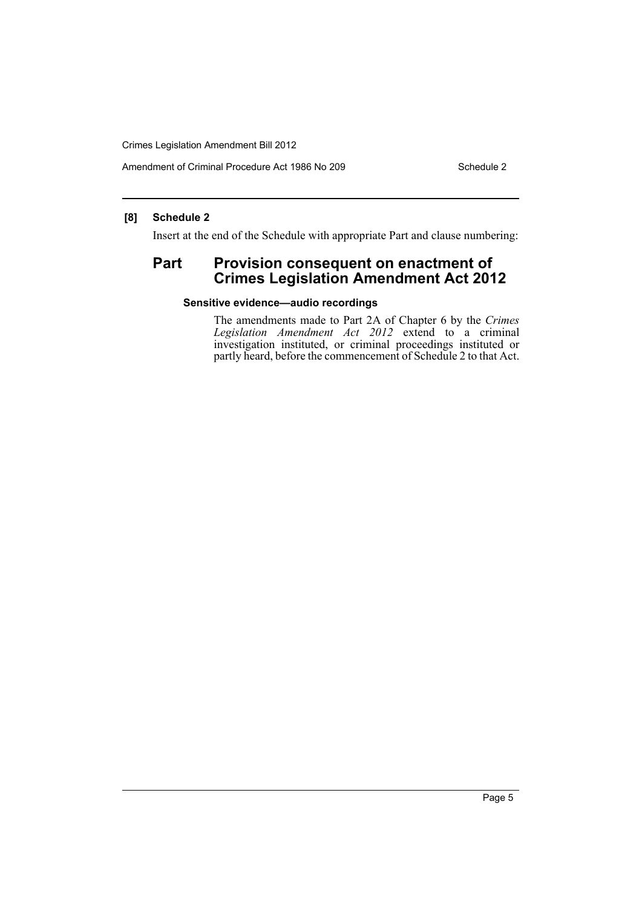Amendment of Criminal Procedure Act 1986 No 209 Schedule 2

## **[8] Schedule 2**

Insert at the end of the Schedule with appropriate Part and clause numbering:

# Part Provision consequent on enactment of **Crimes Legislation Amendment Act 2012**

## **Sensitive evidence—audio recordings**

The amendments made to Part 2A of Chapter 6 by the *Crimes Legislation Amendment Act 2012* extend to a criminal investigation instituted, or criminal proceedings instituted or partly heard, before the commencement of Schedule 2 to that Act.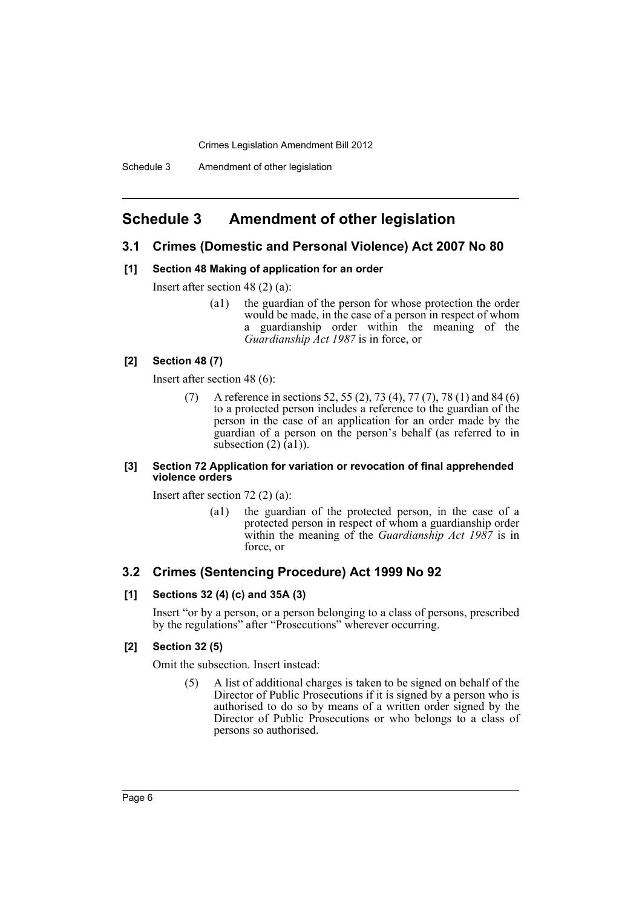# <span id="page-6-0"></span>**Schedule 3 Amendment of other legislation**

## **3.1 Crimes (Domestic and Personal Violence) Act 2007 No 80**

#### **[1] Section 48 Making of application for an order**

Insert after section 48 (2) (a):

(a1) the guardian of the person for whose protection the order would be made, in the case of a person in respect of whom a guardianship order within the meaning of the *Guardianship Act 1987* is in force, or

## **[2] Section 48 (7)**

Insert after section 48 (6):

(7) A reference in sections 52, 55 (2), 73 (4), 77 (7), 78 (1) and 84 (6) to a protected person includes a reference to the guardian of the person in the case of an application for an order made by the guardian of a person on the person's behalf (as referred to in subsection  $(2)$   $(a1)$ ).

#### **[3] Section 72 Application for variation or revocation of final apprehended violence orders**

Insert after section 72 (2) (a):

(a1) the guardian of the protected person, in the case of a protected person in respect of whom a guardianship order within the meaning of the *Guardianship Act 1987* is in force, or

## **3.2 Crimes (Sentencing Procedure) Act 1999 No 92**

#### **[1] Sections 32 (4) (c) and 35A (3)**

Insert "or by a person, or a person belonging to a class of persons, prescribed by the regulations" after "Prosecutions" wherever occurring.

#### **[2] Section 32 (5)**

Omit the subsection. Insert instead:

(5) A list of additional charges is taken to be signed on behalf of the Director of Public Prosecutions if it is signed by a person who is authorised to do so by means of a written order signed by the Director of Public Prosecutions or who belongs to a class of persons so authorised.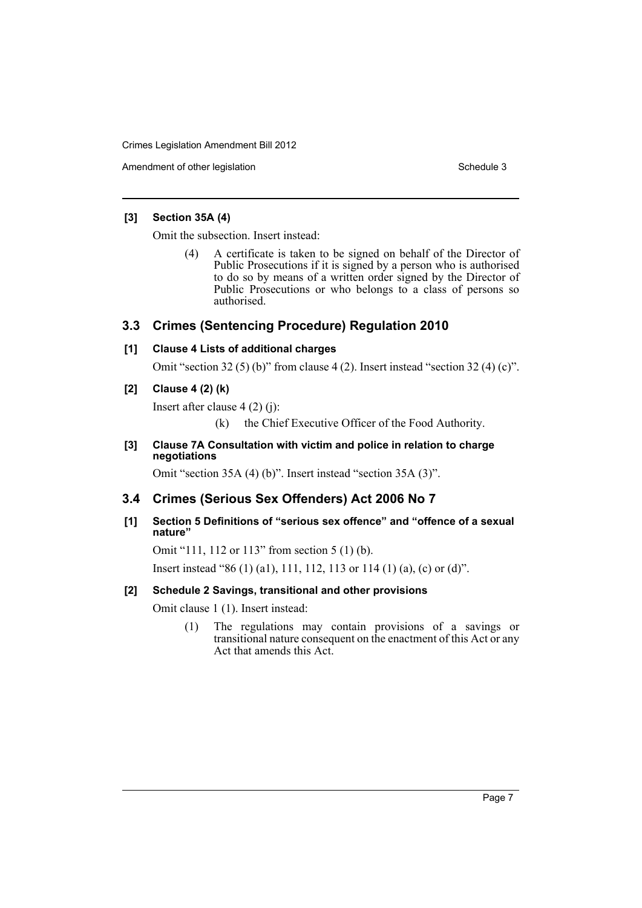Amendment of other legislation Schedule 3

## **[3] Section 35A (4)**

Omit the subsection. Insert instead:

(4) A certificate is taken to be signed on behalf of the Director of Public Prosecutions if it is signed by a person who is authorised to do so by means of a written order signed by the Director of Public Prosecutions or who belongs to a class of persons so authorised.

# **3.3 Crimes (Sentencing Procedure) Regulation 2010**

## **[1] Clause 4 Lists of additional charges**

Omit "section 32 (5) (b)" from clause 4 (2). Insert instead "section 32 (4) (c)".

## **[2] Clause 4 (2) (k)**

Insert after clause 4 (2) (j):

(k) the Chief Executive Officer of the Food Authority.

## **[3] Clause 7A Consultation with victim and police in relation to charge negotiations**

Omit "section 35A (4) (b)". Insert instead "section 35A (3)".

# **3.4 Crimes (Serious Sex Offenders) Act 2006 No 7**

## **[1] Section 5 Definitions of "serious sex offence" and "offence of a sexual nature"**

Omit "111, 112 or 113" from section 5 (1) (b).

Insert instead "86 (1) (a1), 111, 112, 113 or 114 (1) (a), (c) or (d)".

## **[2] Schedule 2 Savings, transitional and other provisions**

Omit clause 1 (1). Insert instead:

(1) The regulations may contain provisions of a savings or transitional nature consequent on the enactment of this Act or any Act that amends this Act.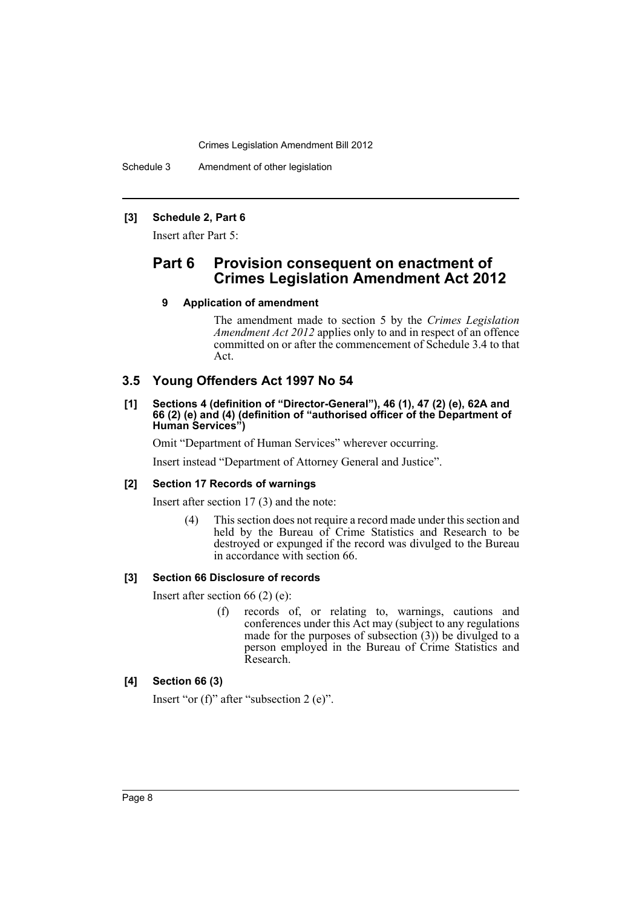Schedule 3 Amendment of other legislation

## **[3] Schedule 2, Part 6**

Insert after Part 5:

# **Part 6 Provision consequent on enactment of Crimes Legislation Amendment Act 2012**

## **9 Application of amendment**

The amendment made to section 5 by the *Crimes Legislation Amendment Act 2012* applies only to and in respect of an offence committed on or after the commencement of Schedule 3.4 to that Act.

## **3.5 Young Offenders Act 1997 No 54**

#### **[1] Sections 4 (definition of "Director-General"), 46 (1), 47 (2) (e), 62A and 66 (2) (e) and (4) (definition of "authorised officer of the Department of Human Services")**

Omit "Department of Human Services" wherever occurring.

Insert instead "Department of Attorney General and Justice".

#### **[2] Section 17 Records of warnings**

Insert after section 17 (3) and the note:

(4) This section does not require a record made under this section and held by the Bureau of Crime Statistics and Research to be destroyed or expunged if the record was divulged to the Bureau in accordance with section 66.

#### **[3] Section 66 Disclosure of records**

Insert after section 66 (2) (e):

(f) records of, or relating to, warnings, cautions and conferences under this Act may (subject to any regulations made for the purposes of subsection (3)) be divulged to a person employed in the Bureau of Crime Statistics and Research.

## **[4] Section 66 (3)**

Insert "or (f)" after "subsection 2 (e)".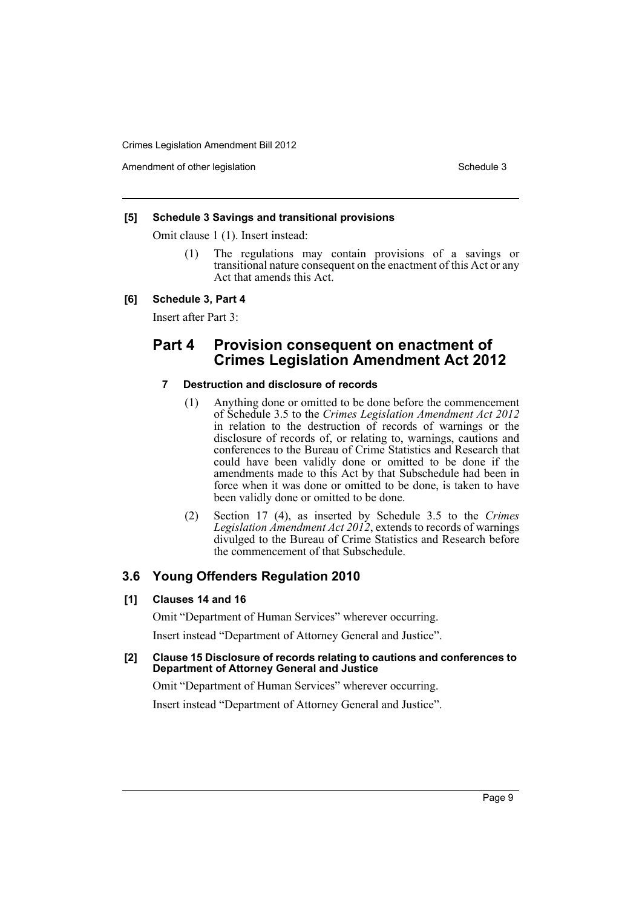Amendment of other legislation Schedule 3

#### **[5] Schedule 3 Savings and transitional provisions**

Omit clause 1 (1). Insert instead:

(1) The regulations may contain provisions of a savings or transitional nature consequent on the enactment of this Act or any Act that amends this Act.

#### **[6] Schedule 3, Part 4**

Insert after Part 3:

# **Part 4 Provision consequent on enactment of Crimes Legislation Amendment Act 2012**

## **7 Destruction and disclosure of records**

- (1) Anything done or omitted to be done before the commencement of Schedule 3.5 to the *Crimes Legislation Amendment Act 2012* in relation to the destruction of records of warnings or the disclosure of records of, or relating to, warnings, cautions and conferences to the Bureau of Crime Statistics and Research that could have been validly done or omitted to be done if the amendments made to this Act by that Subschedule had been in force when it was done or omitted to be done, is taken to have been validly done or omitted to be done.
- (2) Section 17 (4), as inserted by Schedule 3.5 to the *Crimes Legislation Amendment Act 2012*, extends to records of warnings divulged to the Bureau of Crime Statistics and Research before the commencement of that Subschedule.

## **3.6 Young Offenders Regulation 2010**

#### **[1] Clauses 14 and 16**

Omit "Department of Human Services" wherever occurring.

Insert instead "Department of Attorney General and Justice".

**[2] Clause 15 Disclosure of records relating to cautions and conferences to Department of Attorney General and Justice**

Omit "Department of Human Services" wherever occurring.

Insert instead "Department of Attorney General and Justice".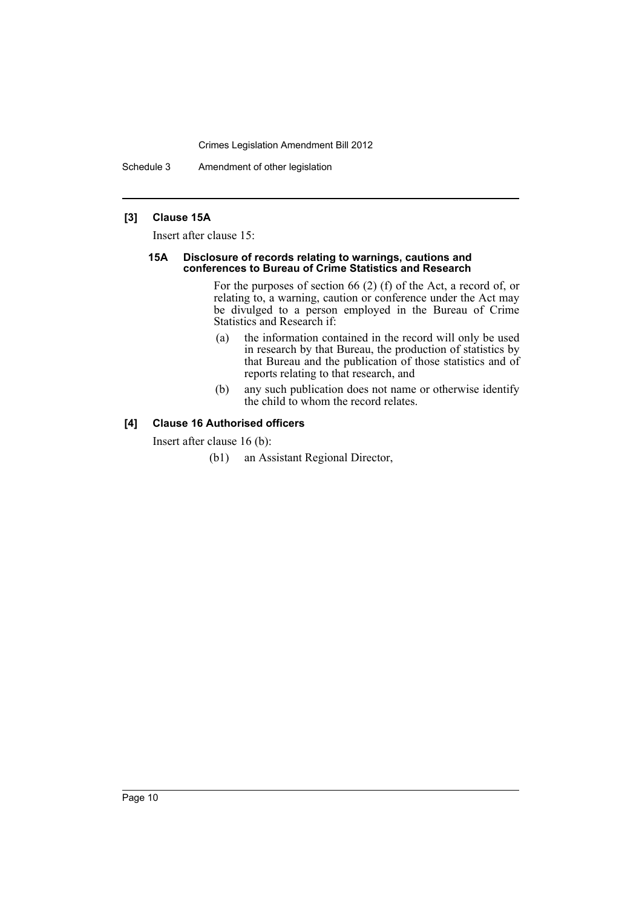Schedule 3 Amendment of other legislation

## **[3] Clause 15A**

Insert after clause 15:

#### **15A Disclosure of records relating to warnings, cautions and conferences to Bureau of Crime Statistics and Research**

For the purposes of section 66 (2) (f) of the Act, a record of, or relating to, a warning, caution or conference under the Act may be divulged to a person employed in the Bureau of Crime Statistics and Research if:

- (a) the information contained in the record will only be used in research by that Bureau, the production of statistics by that Bureau and the publication of those statistics and of reports relating to that research, and
- (b) any such publication does not name or otherwise identify the child to whom the record relates.

## **[4] Clause 16 Authorised officers**

Insert after clause 16 (b):

(b1) an Assistant Regional Director,